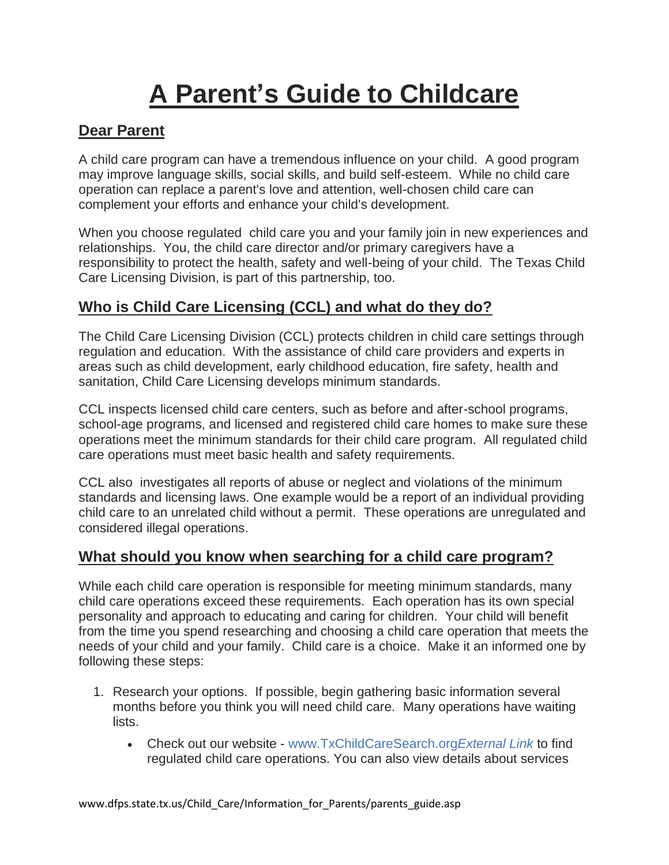# **A Parent's Guide to Childcare**

### **Dear Parent**

A child care program can have a tremendous influence on your child. A good program may improve language skills, social skills, and build self-esteem. While no child care operation can replace a parent's love and attention, well-chosen child care can complement your efforts and enhance your child's development.

When you choose regulated child care you and your family join in new experiences and relationships. You, the child care director and/or primary caregivers have a responsibility to protect the health, safety and well-being of your child. The Texas Child Care Licensing Division, is part of this partnership, too.

#### **Who is Child Care Licensing (CCL) and what do they do?**

The Child Care Licensing Division (CCL) protects children in child care settings through regulation and education. With the assistance of child care providers and experts in areas such as child development, early childhood education, fire safety, health and sanitation, Child Care Licensing develops minimum standards.

CCL inspects licensed child care centers, such as before and after-school programs, school-age programs, and licensed and registered child care homes to make sure these operations meet the minimum standards for their child care program. All regulated child care operations must meet basic health and safety requirements.

CCL also investigates all reports of abuse or neglect and violations of the minimum standards and licensing laws. One example would be a report of an individual providing child care to an unrelated child without a permit. These operations are unregulated and considered illegal operations.

#### **What should you know when searching for a child care program?**

While each child care operation is responsible for meeting minimum standards, many child care operations exceed these requirements. Each operation has its own special personality and approach to educating and caring for children. Your child will benefit from the time you spend researching and choosing a child care operation that meets the needs of your child and your family. Child care is a choice. Make it an informed one by following these steps:

- 1. Research your options. If possible, begin gathering basic information several months before you think you will need child care. Many operations have waiting lists.
	- Check out our website [www.TxChildCareSearch.org](http://www.txchildcaresearch.org/)*External Link* to find regulated child care operations. You can also view details about services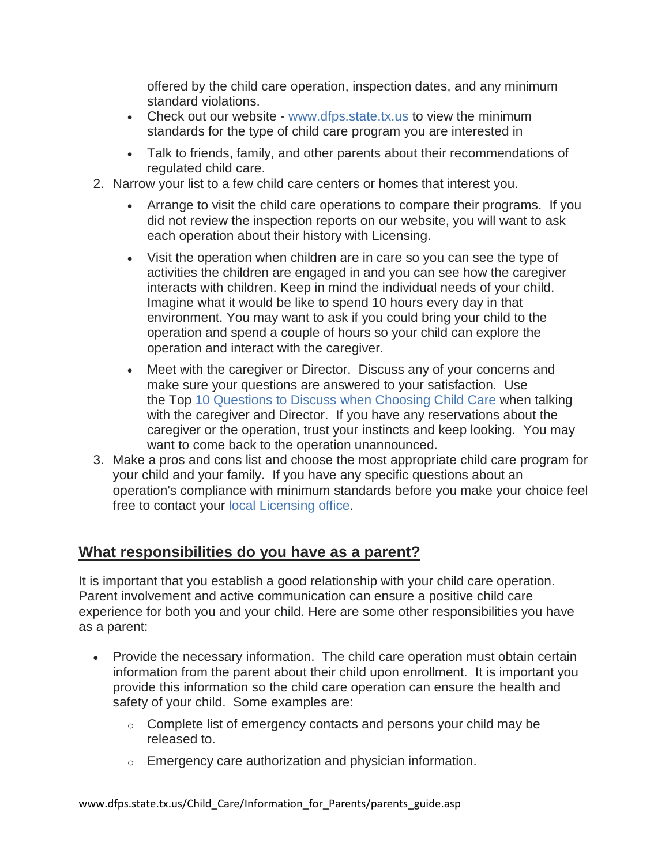offered by the child care operation, inspection dates, and any minimum standard violations.

- Check out our website [www.dfps.state.tx.us](https://www.dfps.state.tx.us/Child_Care/Child_Care_Standards_and_Regulations/default.asp) to view the minimum standards for the type of child care program you are interested in
- Talk to friends, family, and other parents about their recommendations of regulated child care.
- 2. Narrow your list to a few child care centers or homes that interest you.
	- Arrange to visit the child care operations to compare their programs. If you did not review the inspection reports on our website, you will want to ask each operation about their history with Licensing.
	- Visit the operation when children are in care so you can see the type of activities the children are engaged in and you can see how the caregiver interacts with children. Keep in mind the individual needs of your child. Imagine what it would be like to spend 10 hours every day in that environment. You may want to ask if you could bring your child to the operation and spend a couple of hours so your child can explore the operation and interact with the caregiver.
	- Meet with the caregiver or Director. Discuss any of your concerns and make sure your questions are answered to your satisfaction. Use the Top 10 Questions to Discuss [when Choosing Child Care](http://www.dfps.state.tx.us/Child_Care/Dont_Be_In_The_Dark/parent_tips.asp) when talking with the caregiver and Director. If you have any reservations about the caregiver or the operation, trust your instincts and keep looking. You may want to come back to the operation unannounced.
- 3. Make a pros and cons list and choose the most appropriate child care program for your child and your family. If you have any specific questions about an operation's compliance with minimum standards before you make your choice feel free to contact your [local Licensing office.](https://www.dfps.state.tx.us/Child_Care/Local_Child_Care_Licensing_Offices/default.asp)

#### **What responsibilities do you have as a parent?**

It is important that you establish a good relationship with your child care operation. Parent involvement and active communication can ensure a positive child care experience for both you and your child. Here are some other responsibilities you have as a parent:

- Provide the necessary information. The child care operation must obtain certain information from the parent about their child upon enrollment. It is important you provide this information so the child care operation can ensure the health and safety of your child. Some examples are:
	- $\circ$  Complete list of emergency contacts and persons your child may be released to.
	- $\circ$  Emergency care authorization and physician information.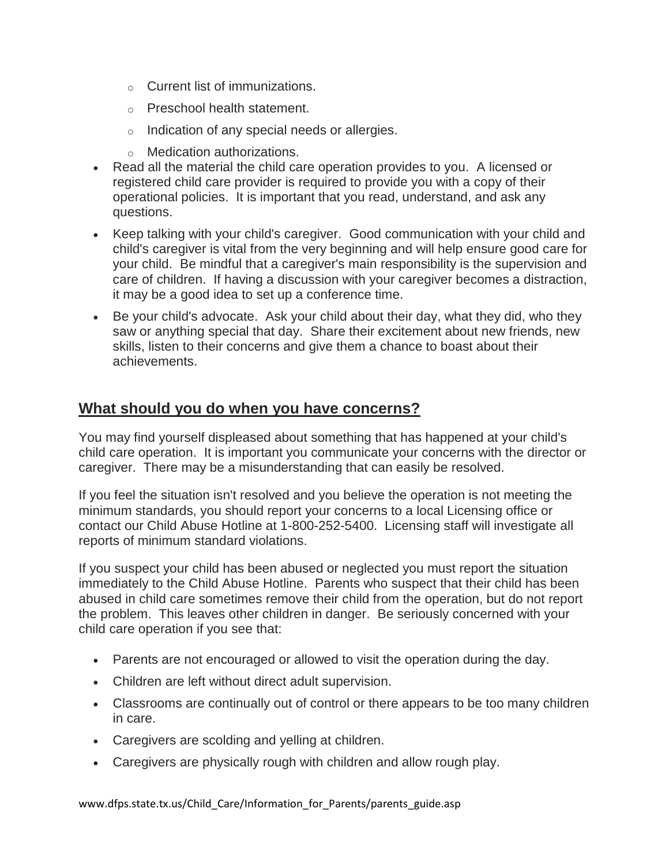- o Current list of immunizations.
- o Preschool health statement.
- o Indication of any special needs or allergies.
- o Medication authorizations.
- Read all the material the child care operation provides to you. A licensed or registered child care provider is required to provide you with a copy of their operational policies. It is important that you read, understand, and ask any questions.
- Keep talking with your child's caregiver. Good communication with your child and child's caregiver is vital from the very beginning and will help ensure good care for your child. Be mindful that a caregiver's main responsibility is the supervision and care of children. If having a discussion with your caregiver becomes a distraction, it may be a good idea to set up a conference time.
- Be your child's advocate. Ask your child about their day, what they did, who they saw or anything special that day. Share their excitement about new friends, new skills, listen to their concerns and give them a chance to boast about their achievements.

#### **What should you do when you have concerns?**

You may find yourself displeased about something that has happened at your child's child care operation. It is important you communicate your concerns with the director or caregiver. There may be a misunderstanding that can easily be resolved.

If you feel the situation isn't resolved and you believe the operation is not meeting the minimum standards, you should report your concerns to a local Licensing office or contact our Child Abuse Hotline at 1-800-252-5400. Licensing staff will investigate all reports of minimum standard violations.

If you suspect your child has been abused or neglected you must report the situation immediately to the Child Abuse Hotline. Parents who suspect that their child has been abused in child care sometimes remove their child from the operation, but do not report the problem. This leaves other children in danger. Be seriously concerned with your child care operation if you see that:

- Parents are not encouraged or allowed to visit the operation during the day.
- Children are left without direct adult supervision.
- Classrooms are continually out of control or there appears to be too many children in care.
- Caregivers are scolding and yelling at children.
- Caregivers are physically rough with children and allow rough play.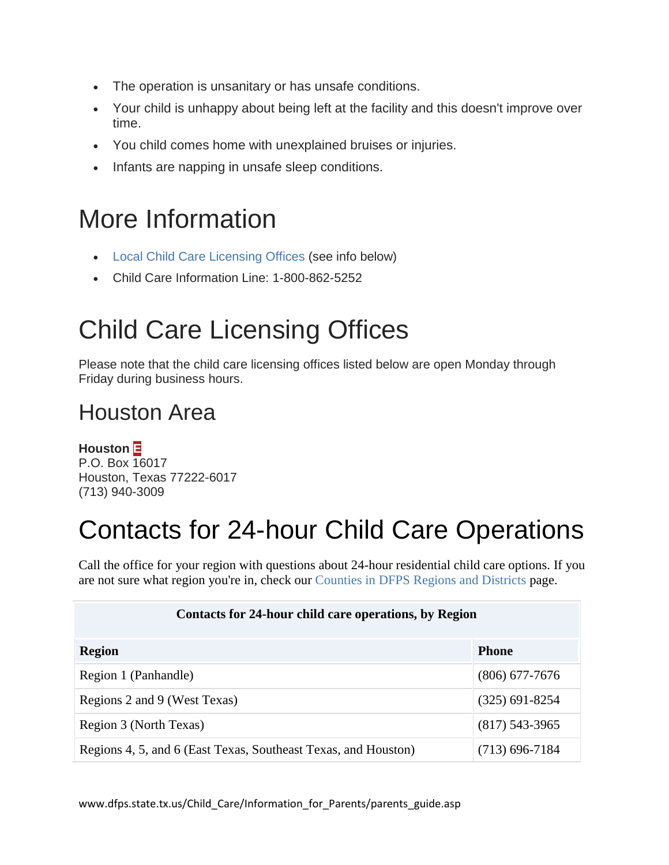- The operation is unsanitary or has unsafe conditions.
- Your child is unhappy about being left at the facility and this doesn't improve over time.
- You child comes home with unexplained bruises or injuries.
- Infants are napping in unsafe sleep conditions.

### More Information

- [Local Child Care Licensing Offices](https://www.dfps.state.tx.us/Child_Care/Local_Child_Care_Licensing_Offices/default.asp) (see info below)
- Child Care Information Line: 1-800-862-5252

### Child Care Licensing Offices

Please note that the child care licensing offices listed below are open Monday through Friday during business hours.

### Houston Area

**Houston E** P.O. Box 16017 Houston, Texas 77222-6017 (713) 940-3009

## Contacts for 24-hour Child Care Operations

Call the office for your region with questions about 24-hour residential child care options. If you are not sure what region you're in, check our [Counties in DFPS Regions and Districts](https://www.dfps.state.tx.us/contact_us/counties.asp?r=all) page.

| Contacts for 24-hour child care operations, by Region          |                  |
|----------------------------------------------------------------|------------------|
| <b>Region</b>                                                  | <b>Phone</b>     |
| Region 1 (Panhandle)                                           | $(806)$ 677-7676 |
| Regions 2 and 9 (West Texas)                                   | $(325)$ 691-8254 |
| Region 3 (North Texas)                                         | $(817)$ 543-3965 |
| Regions 4, 5, and 6 (East Texas, Southeast Texas, and Houston) | $(713)$ 696-7184 |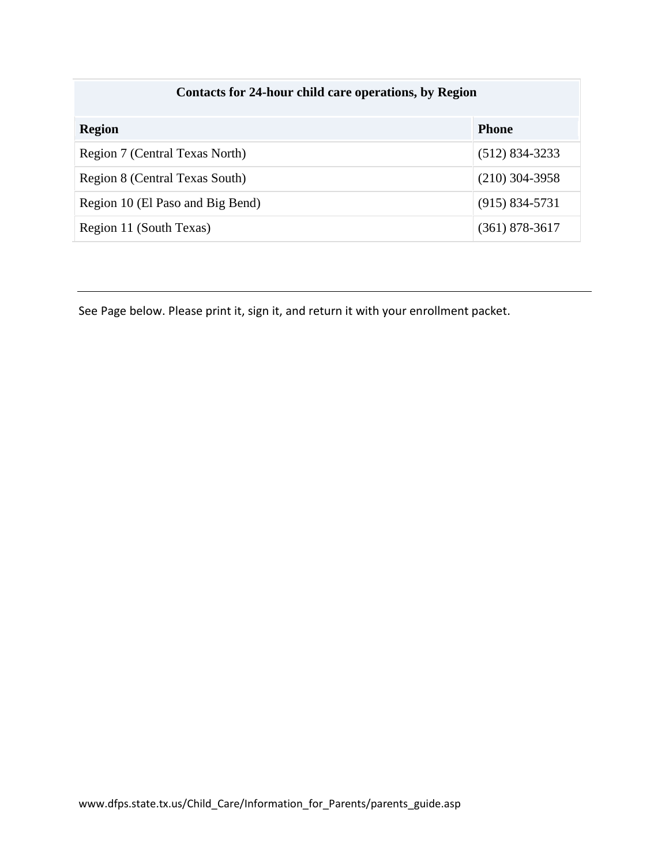| Contacts for 24-hour child care operations, by Region |                    |
|-------------------------------------------------------|--------------------|
| <b>Region</b>                                         | <b>Phone</b>       |
| Region 7 (Central Texas North)                        | $(512) 834 - 3233$ |
| Region 8 (Central Texas South)                        | $(210)$ 304-3958   |
| Region 10 (El Paso and Big Bend)                      | $(915) 834 - 5731$ |
| Region 11 (South Texas)                               | $(361)$ 878-3617   |

See Page below. Please print it, sign it, and return it with your enrollment packet.